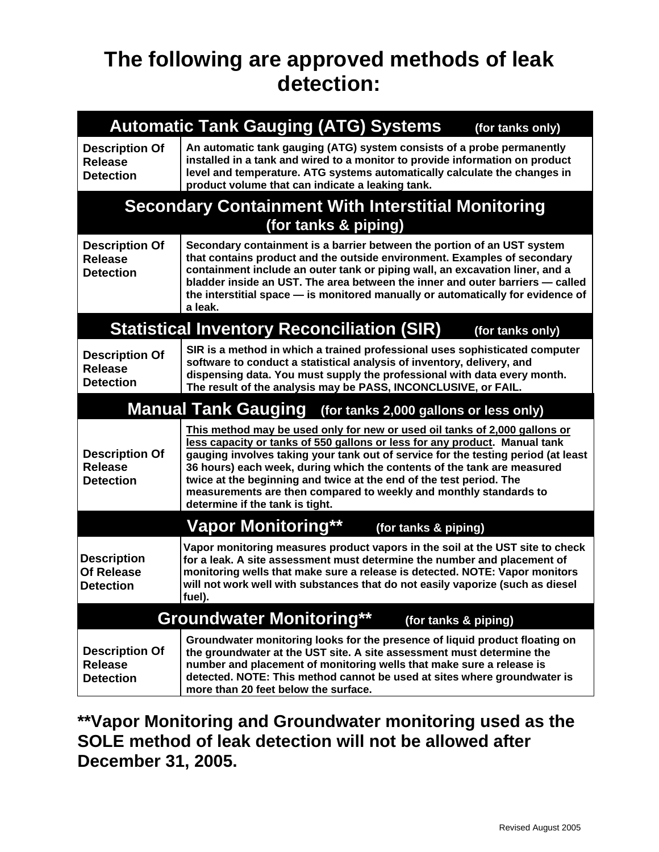## **The following are approved methods of leak detection:**

| <b>Automatic Tank Gauging (ATG) Systems</b><br>(for tanks only)      |                                                                                                                                                                                                                                                                                                                                                                                                                                                                                                         |  |  |  |  |
|----------------------------------------------------------------------|---------------------------------------------------------------------------------------------------------------------------------------------------------------------------------------------------------------------------------------------------------------------------------------------------------------------------------------------------------------------------------------------------------------------------------------------------------------------------------------------------------|--|--|--|--|
| <b>Description Of</b><br><b>Release</b><br><b>Detection</b>          | An automatic tank gauging (ATG) system consists of a probe permanently<br>installed in a tank and wired to a monitor to provide information on product<br>level and temperature. ATG systems automatically calculate the changes in<br>product volume that can indicate a leaking tank.                                                                                                                                                                                                                 |  |  |  |  |
|                                                                      | <b>Secondary Containment With Interstitial Monitoring</b>                                                                                                                                                                                                                                                                                                                                                                                                                                               |  |  |  |  |
| (for tanks & piping)                                                 |                                                                                                                                                                                                                                                                                                                                                                                                                                                                                                         |  |  |  |  |
| <b>Description Of</b><br><b>Release</b><br><b>Detection</b>          | Secondary containment is a barrier between the portion of an UST system<br>that contains product and the outside environment. Examples of secondary<br>containment include an outer tank or piping wall, an excavation liner, and a<br>bladder inside an UST. The area between the inner and outer barriers - called<br>the interstitial space - is monitored manually or automatically for evidence of<br>a leak.                                                                                      |  |  |  |  |
|                                                                      | <b>Statistical Inventory Reconciliation (SIR)</b><br>(for tanks only)                                                                                                                                                                                                                                                                                                                                                                                                                                   |  |  |  |  |
| <b>Description Of</b><br><b>Release</b><br><b>Detection</b>          | SIR is a method in which a trained professional uses sophisticated computer<br>software to conduct a statistical analysis of inventory, delivery, and<br>dispensing data. You must supply the professional with data every month.<br>The result of the analysis may be PASS, INCONCLUSIVE, or FAIL.                                                                                                                                                                                                     |  |  |  |  |
| <b>Manual Tank Gauging</b><br>(for tanks 2,000 gallons or less only) |                                                                                                                                                                                                                                                                                                                                                                                                                                                                                                         |  |  |  |  |
| <b>Description Of</b><br><b>Release</b><br><b>Detection</b>          | This method may be used only for new or used oil tanks of 2,000 gallons or<br>less capacity or tanks of 550 gallons or less for any product. Manual tank<br>gauging involves taking your tank out of service for the testing period (at least<br>36 hours) each week, during which the contents of the tank are measured<br>twice at the beginning and twice at the end of the test period. The<br>measurements are then compared to weekly and monthly standards to<br>determine if the tank is tight. |  |  |  |  |
| <b>Vapor Monitoring**</b><br>(for tanks & piping)                    |                                                                                                                                                                                                                                                                                                                                                                                                                                                                                                         |  |  |  |  |
| <b>Description</b><br><b>Of Release</b><br><b>Detection</b>          | Vapor monitoring measures product vapors in the soil at the UST site to check<br>for a leak. A site assessment must determine the number and placement of<br>monitoring wells that make sure a release is detected. NOTE: Vapor monitors<br>will not work well with substances that do not easily vaporize (such as diesel<br>fuel).                                                                                                                                                                    |  |  |  |  |
| <b>Groundwater Monitoring**</b><br>(for tanks & piping)              |                                                                                                                                                                                                                                                                                                                                                                                                                                                                                                         |  |  |  |  |
| <b>Description Of</b><br><b>Release</b><br><b>Detection</b>          | Groundwater monitoring looks for the presence of liquid product floating on<br>the groundwater at the UST site. A site assessment must determine the<br>number and placement of monitoring wells that make sure a release is<br>detected. NOTE: This method cannot be used at sites where groundwater is<br>more than 20 feet below the surface.                                                                                                                                                        |  |  |  |  |

**\*\*Vapor Monitoring and Groundwater monitoring used as the SOLE method of leak detection will not be allowed after December 31, 2005.**